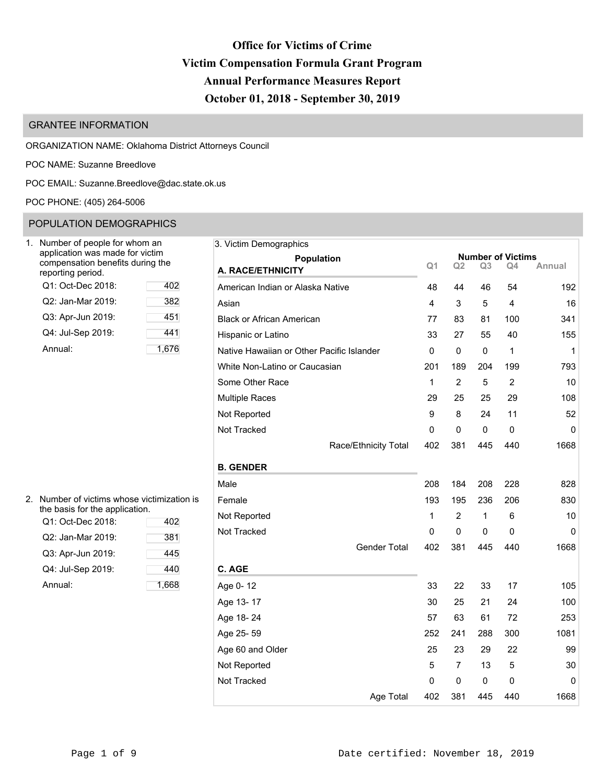# **Office for Victims of Crime Victim Compensation Formula Grant Program Annual Performance Measures Report October 01, 2018 - September 30, 2019**

# GRANTEE INFORMATION

ORGANIZATION NAME: Oklahoma District Attorneys Council

POC NAME: Suzanne Breedlove

POC EMAIL: [Suzanne.Breedlove@dac.state.ok.us](mailto:Suzanne.Breedlove@dac.state.ok.us)

POC PHONE: (405) 264-5006

# POPULATION DEMOGRAPHICS

| Number of people for whom an<br>application was made for victim<br>compensation benefits during the<br>reporting period. |     |
|--------------------------------------------------------------------------------------------------------------------------|-----|
| Q1: Oct-Dec 2018:                                                                                                        | 402 |
| Q2: Jan-Mar 2019:                                                                                                        | 382 |
| Q3: Apr-Jun 2019:                                                                                                        | 451 |
| Q4: Jul-Sep 2019:                                                                                                        | 441 |
| Annual:                                                                                                                  | 1.6 |

| Number of people for whom an                                        | 3. Victim Demographics                    |                |             |                |                                          |              |  |
|---------------------------------------------------------------------|-------------------------------------------|----------------|-------------|----------------|------------------------------------------|--------------|--|
| application was made for victim<br>compensation benefits during the | Population                                | Q <sub>1</sub> | Q2          | Q <sub>3</sub> | <b>Number of Victims</b><br>Q4<br>Annual |              |  |
| eporting period.                                                    | A. RACE/ETHNICITY                         |                |             |                |                                          |              |  |
| Q1: Oct-Dec 2018:<br>402                                            | American Indian or Alaska Native          | 48             | 44          | 46             | 54                                       | 192          |  |
| 382<br>Q2: Jan-Mar 2019:                                            | Asian                                     | 4              | 3           | 5              | 4                                        | 16           |  |
| Q3: Apr-Jun 2019:<br>451                                            | <b>Black or African American</b>          | 77             | 83          | 81             | 100                                      | 341          |  |
| Q4: Jul-Sep 2019:<br>441                                            | Hispanic or Latino                        | 33             | 27          | 55             | 40                                       | 155          |  |
| 1,676<br>Annual:                                                    | Native Hawaiian or Other Pacific Islander | $\mathbf 0$    | $\mathbf 0$ | $\mathbf 0$    | $\mathbf{1}$                             | $\mathbf{1}$ |  |
|                                                                     | White Non-Latino or Caucasian             | 201            | 189         | 204            | 199                                      | 793          |  |
|                                                                     | Some Other Race                           | 1              | 2           | 5              | $\overline{2}$                           | 10           |  |
|                                                                     | <b>Multiple Races</b>                     | 29             | 25          | 25             | 29                                       | 108          |  |
|                                                                     | Not Reported                              | 9              | 8           | 24             | 11                                       | 52           |  |
|                                                                     | Not Tracked                               | 0              | 0           | 0              | $\Omega$                                 | 0            |  |
|                                                                     | Race/Ethnicity Total                      | 402            | 381         | 445            | 440                                      | 1668         |  |
|                                                                     | <b>B. GENDER</b>                          |                |             |                |                                          |              |  |
|                                                                     | Male                                      | 208            | 184         | 208            | 228                                      | 828          |  |
| Number of victims whose victimization is                            | Female                                    | 193            | 195         | 236            | 206                                      | 830          |  |
| he basis for the application.<br>Q1: Oct-Dec 2018:<br>402           | Not Reported                              | 1              | 2           | 1              | 6                                        | 10           |  |
| Q2: Jan-Mar 2019:<br>381                                            | Not Tracked                               | 0              | 0           | 0              | 0                                        | 0            |  |
| Q3: Apr-Jun 2019:<br>445                                            | <b>Gender Total</b>                       | 402            | 381         | 445            | 440                                      | 1668         |  |
| Q4: Jul-Sep 2019:<br>440                                            | C. AGE                                    |                |             |                |                                          |              |  |
| 1,668<br>Annual:                                                    | Age 0-12                                  | 33             | 22          | 33             | 17                                       | 105          |  |
|                                                                     |                                           |                |             |                |                                          |              |  |
|                                                                     | Age 13-17                                 | 30             | 25          | 21             | 24                                       | 100          |  |
|                                                                     | Age 18-24                                 | 57             | 63          | 61             | 72                                       | 253          |  |
|                                                                     | Age 25-59                                 | 252            | 241         | 288            | 300                                      | 1081         |  |
|                                                                     | Age 60 and Older                          | 25             | 23          | 29             | 22                                       | 99           |  |
|                                                                     | Not Reported                              | 5              | 7           | 13             | 5                                        | 30           |  |
|                                                                     | Not Tracked                               | 0              | 0           | 0              | 0                                        | 0            |  |
|                                                                     | Age Total                                 | 402            | 381         | 445            | 440                                      | 1668         |  |

| 2. Number of victims whose victimization is |
|---------------------------------------------|
| the basis for the application.              |

| Q1: Oct-Dec 2018: | 402   | 1101110p |
|-------------------|-------|----------|
| Q2: Jan-Mar 2019: | 381   | Not Trac |
| Q3: Apr-Jun 2019: | 445   |          |
| Q4: Jul-Sep 2019: | 440   | C. AGE   |
| Annual:           | 1,668 | Age 0-1  |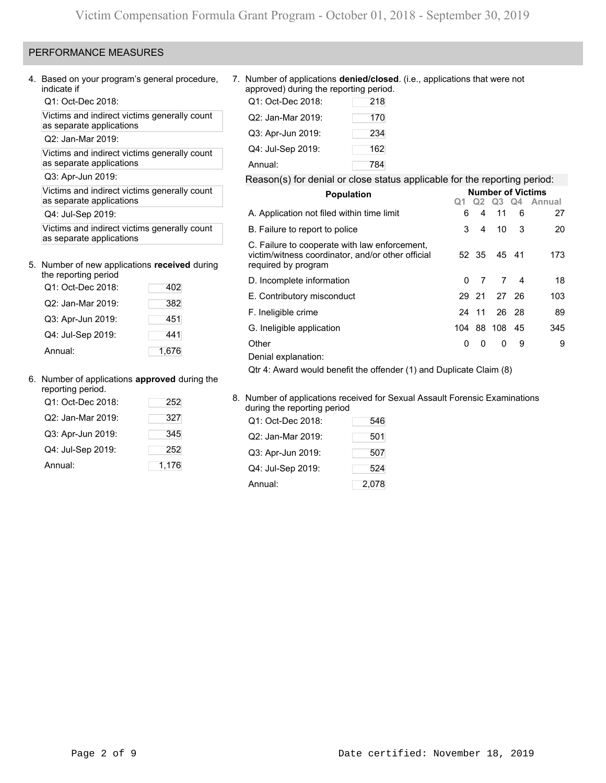# PERFORMANCE MEASURES

Q1: Oct-Dec 2018:

Victims and indirect victims generally count as separate applications

Q2: Jan-Mar 2019:

Victims and indirect victims generally count as separate applications

# 5. Number of new applications **received** during the reporting period

| the reporting period |       |
|----------------------|-------|
| Q1: Oct-Dec 2018:    | 402   |
| Q2: Jan-Mar 2019:    | 382   |
| Q3: Apr-Jun 2019:    | 451   |
| Q4: Jul-Sep 2019:    | 441   |
| Annual:              | 1,676 |

## 6. Number of applications **approved** during the

| reporting period. |       |                                                                       |     |
|-------------------|-------|-----------------------------------------------------------------------|-----|
| Q1: Oct-Dec 2018: | 252   | 8. Number of applications received for<br>during the reporting period |     |
| Q2: Jan-Mar 2019: | 327   | Q1: Oct-Dec 2018:                                                     | 546 |
| Q3: Apr-Jun 2019: | 345   | Q2: Jan-Mar 2019:                                                     | 501 |
| Q4: Jul-Sep 2019: | 252   | Q3: Apr-Jun 2019:                                                     | 507 |
| Annual:           | 1,176 | Q4: Jul-Sep 2019:                                                     | 524 |

4. Based on your program's general procedure, 7. Number of applications **denied/closed**. (i.e., applications that were not approved) during the reporting period.

| Q1: Oct-Dec 2018: | 218 |
|-------------------|-----|
| Q2: Jan-Mar 2019: | 170 |
| Q3: Apr-Jun 2019: | 234 |
| Q4: Jul-Sep 2019: | 162 |
| Annual:           | 784 |

# Q3: Apr-Jun 2019: Reason(s) for denial or close status applicable for the reporting period:

| Victims and indirect victims generally count                           |       | <b>Population</b>                                                                                                         |     |          |              |       | <b>Number of Victims</b> |
|------------------------------------------------------------------------|-------|---------------------------------------------------------------------------------------------------------------------------|-----|----------|--------------|-------|--------------------------|
| as separate applications                                               |       |                                                                                                                           |     | Q2       | Q3           | Q4    | Annual                   |
| Q4: Jul-Sep 2019:                                                      |       | A. Application not filed within time limit                                                                                | 6   | 4        | 11           | 6     | 27                       |
| Victims and indirect victims generally count                           |       | B. Failure to report to police                                                                                            | 3   | 4        | 10           | 3     | 20                       |
| as separate applications<br>Number of new applications received during |       | C. Failure to cooperate with law enforcement,<br>victim/witness coordinator, and/or other official<br>required by program | 52  | -35      |              | 45 41 | 173                      |
| the reporting period                                                   |       | D. Incomplete information                                                                                                 | 0   |          | 7            | 4     | 18                       |
| Q1: Oct-Dec 2018:                                                      | 402   | E. Contributory misconduct                                                                                                | 29  | 21       |              | 27 26 | 103                      |
| Q2: Jan-Mar 2019:                                                      | 382   |                                                                                                                           |     |          |              |       |                          |
| Q3: Apr-Jun 2019:                                                      | 451   | F. Ineligible crime                                                                                                       | 24  | 11       |              | 26 28 | 89                       |
| Q4: Jul-Sep 2019:                                                      | 441   | G. Ineligible application                                                                                                 | 104 | 88       | 108          | -45   | 345                      |
|                                                                        |       | Other                                                                                                                     | 0   | $\Omega$ | $\mathbf{0}$ | 9     | 9                        |
| Annual:                                                                | 1,676 | Denial explanation:                                                                                                       |     |          |              |       |                          |
|                                                                        |       | Qtr 4: Award would benefit the offender (1) and Duplicate Claim (8)                                                       |     |          |              |       |                          |

## 8. Number of applications received for Sexual Assault Forensic Examinations during the reporting period Q1: Oct-Dec 2018: 546

| Q3: Apr-Jun 2019: | 345   | Q2: Jan-Mar 2019: | 501   |
|-------------------|-------|-------------------|-------|
| Q4: Jul-Sep 2019: | 252   | Q3: Apr-Jun 2019: | 507   |
| Annual:           | 1,176 | Q4: Jul-Sep 2019: | 524   |
|                   |       | Annual:           | 2,078 |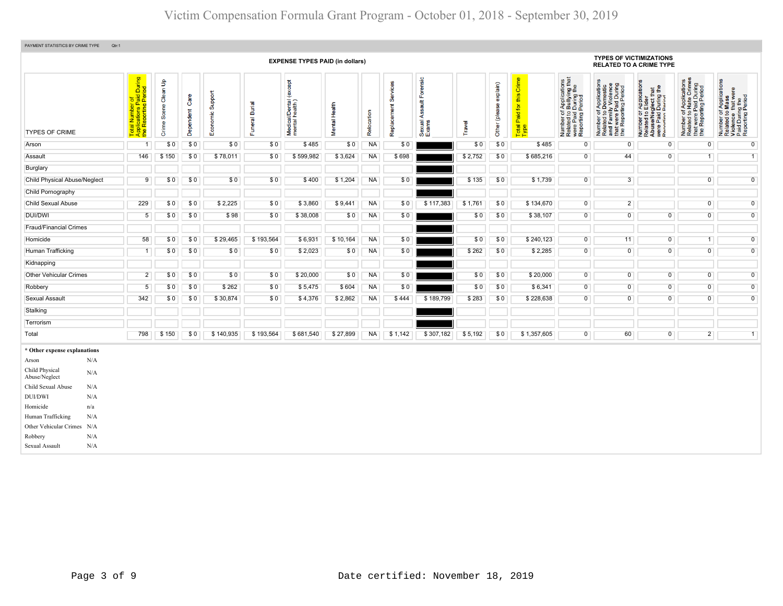| PAYMENT STATISTICS BY CRIME TYPE            | Qtr:1                                                                                         |                            |                   |                     |                |                                               |                         |            |                               |                                                |         |                           |                                                              |                                                                                                                                           |                                                                                                                       |                                                                                                                                                                              |                                                                                                   |                                                                                                        |
|---------------------------------------------|-----------------------------------------------------------------------------------------------|----------------------------|-------------------|---------------------|----------------|-----------------------------------------------|-------------------------|------------|-------------------------------|------------------------------------------------|---------|---------------------------|--------------------------------------------------------------|-------------------------------------------------------------------------------------------------------------------------------------------|-----------------------------------------------------------------------------------------------------------------------|------------------------------------------------------------------------------------------------------------------------------------------------------------------------------|---------------------------------------------------------------------------------------------------|--------------------------------------------------------------------------------------------------------|
|                                             |                                                                                               |                            |                   |                     |                | <b>EXPENSE TYPES PAID (in dollars)</b>        |                         |            |                               |                                                |         |                           |                                                              |                                                                                                                                           | <b>TYPES OF VICTIMIZATIONS</b><br><b>RELATED TO A CRIME TYPE</b>                                                      |                                                                                                                                                                              |                                                                                                   |                                                                                                        |
| <b>TYPES OF CRIME</b>                       | l Number of<br>ications Paid During<br>Reporting Period<br>Report<br>Total<br>Applic<br>the R | Clean Up<br>Scene<br>Crime | Care<br>Dependent | Support<br>Economic | Funeral Burial | except)<br>Medical/Dental (<br>mental health) | Health<br><b>Mental</b> | Relocation | vices<br>ഗ<br>eplacement<br>œ | orensic<br>Ш<br>ssault<br>₹<br>Sexual<br>Exams | Travel  | explain)<br>Other (please | this Crime<br><b>b</b><br>Paid <sup>*</sup><br>Total<br>Type | of Applications<br>o Bullying that<br>1 During the<br>I Period<br>Number of <i>I</i><br>Related to <b>B</b><br>were Paid L<br>Reporting P | Number of Applications<br>Related to Domestic<br>and Family Violence<br>that were Paid During<br>the Reporting Period | r Applications<br>· Elder<br><b>aglect that</b><br>I During the<br>Period<br>$5\overline{2}$<br>Number of<br>Related to I<br>Abuse/Neg<br>were Paid I<br>Reporting Reporting | Number of Applications<br>Related to Hate Crimes<br>that were Paid During<br>the Reporting Period | Number of Applications<br>Related to Mass<br>Violence that were<br>Paid During the<br>Reporting Period |
| Arson                                       | $\overline{1}$                                                                                | \$0                        | \$0               | \$0                 | \$0            | \$485                                         | \$0                     | <b>NA</b>  | \$0                           |                                                | \$0     | \$0                       | \$485                                                        | $\mathbf 0$                                                                                                                               | $\overline{0}$                                                                                                        | $\overline{0}$                                                                                                                                                               | $\mathbf 0$                                                                                       | $\mathbf 0$                                                                                            |
| Assault                                     | 146                                                                                           | \$150                      | \$0               | \$78,011            | \$0            | \$599,982                                     | \$3,624                 | <b>NA</b>  | \$698                         |                                                | \$2,752 | \$0                       | \$685,216                                                    | $\mathbf 0$                                                                                                                               | 44                                                                                                                    | $\mathbf 0$                                                                                                                                                                  | $\overline{1}$                                                                                    | $\mathbf{1}$                                                                                           |
| Burglary                                    |                                                                                               |                            |                   |                     |                |                                               |                         |            |                               |                                                |         |                           |                                                              |                                                                                                                                           |                                                                                                                       |                                                                                                                                                                              |                                                                                                   |                                                                                                        |
| <b>Child Physical Abuse/Neglect</b>         | 9                                                                                             | \$0                        | \$0               | \$0                 | \$0            | \$400                                         | \$1,204                 | <b>NA</b>  | \$0                           |                                                | \$135   | \$0                       | \$1,739                                                      | $\overline{0}$                                                                                                                            | $\overline{3}$                                                                                                        |                                                                                                                                                                              | $\mathsf{O}\xspace$                                                                               | $\overline{0}$                                                                                         |
| Child Pornography                           |                                                                                               |                            |                   |                     |                |                                               |                         |            |                               |                                                |         |                           |                                                              |                                                                                                                                           |                                                                                                                       |                                                                                                                                                                              |                                                                                                   |                                                                                                        |
| <b>Child Sexual Abuse</b>                   | 229                                                                                           | \$0                        | \$0               | \$2,225             | \$0            | \$3,860                                       | \$9,441                 | <b>NA</b>  | \$0                           | \$117,383                                      | \$1,761 | \$0                       | \$134,670                                                    | $\overline{0}$                                                                                                                            | $\overline{2}$                                                                                                        |                                                                                                                                                                              | $\overline{0}$                                                                                    | $\overline{0}$                                                                                         |
| DUI/DWI                                     | $5\phantom{.0}$                                                                               | \$0                        | \$0               | \$98                | \$0            | \$38,008                                      | \$0                     | <b>NA</b>  | \$0                           |                                                | \$0     | \$0                       | \$38,107                                                     | $\overline{0}$                                                                                                                            | $\overline{0}$                                                                                                        | $\overline{0}$                                                                                                                                                               | $\mathbf 0$                                                                                       | $\overline{0}$                                                                                         |
| <b>Fraud/Financial Crimes</b>               |                                                                                               |                            |                   |                     |                |                                               |                         |            |                               |                                                |         |                           |                                                              |                                                                                                                                           |                                                                                                                       |                                                                                                                                                                              |                                                                                                   |                                                                                                        |
| Homicide                                    | 58                                                                                            | \$0                        | \$0               | \$29,465            | \$193,564      | \$6,931                                       | \$10,164                | <b>NA</b>  | \$0                           |                                                | \$0     | \$0                       | \$240,123                                                    | $\overline{0}$                                                                                                                            | 11                                                                                                                    | $\overline{0}$                                                                                                                                                               | $\overline{1}$                                                                                    | $\overline{0}$                                                                                         |
| Human Trafficking                           | $\mathbf{1}$                                                                                  | \$0                        | \$0               | \$0                 | \$0            | \$2,023                                       | \$0                     | <b>NA</b>  | \$0                           |                                                | \$262   | \$0                       | \$2,285                                                      | $\overline{0}$                                                                                                                            | $\overline{0}$                                                                                                        | $\mathbf 0$                                                                                                                                                                  | $\overline{0}$                                                                                    | $\overline{0}$                                                                                         |
| Kidnapping                                  |                                                                                               |                            |                   |                     |                |                                               |                         |            |                               |                                                |         |                           |                                                              |                                                                                                                                           |                                                                                                                       |                                                                                                                                                                              |                                                                                                   |                                                                                                        |
| <b>Other Vehicular Crimes</b>               | $\overline{2}$                                                                                | \$0                        | \$0               | \$0                 | \$0            | \$20,000                                      | \$0                     | <b>NA</b>  | \$0                           |                                                | \$0     | \$0                       | \$20,000                                                     | $\overline{0}$                                                                                                                            | $\overline{0}$                                                                                                        | $\overline{0}$                                                                                                                                                               | $\overline{0}$                                                                                    | $\overline{0}$                                                                                         |
| Robbery                                     | $\sqrt{5}$                                                                                    | \$0                        | \$0               | \$262               | \$0            | \$5,475                                       | \$604                   | <b>NA</b>  | \$0                           |                                                | \$0     | \$0                       | \$6,341                                                      | $\overline{0}$                                                                                                                            | $\mathsf{O}$                                                                                                          | $\mathbf 0$                                                                                                                                                                  | $\mathsf{O}\xspace$                                                                               | $\overline{0}$                                                                                         |
| Sexual Assault                              | 342                                                                                           | \$0                        | \$0               | \$30,874            | \$0            | \$4,376                                       | \$2,862                 | <b>NA</b>  | \$444                         | \$189,799                                      | \$283   | \$0                       | \$228,638                                                    | $\mathbf 0$                                                                                                                               | $\overline{0}$                                                                                                        | $\overline{0}$                                                                                                                                                               | $\mathbf 0$                                                                                       | $\overline{0}$                                                                                         |
| Stalking                                    |                                                                                               |                            |                   |                     |                |                                               |                         |            |                               |                                                |         |                           |                                                              |                                                                                                                                           |                                                                                                                       |                                                                                                                                                                              |                                                                                                   |                                                                                                        |
| Terrorism                                   |                                                                                               |                            |                   |                     |                |                                               |                         |            |                               |                                                |         |                           |                                                              |                                                                                                                                           |                                                                                                                       |                                                                                                                                                                              |                                                                                                   |                                                                                                        |
| Total                                       | 798                                                                                           | \$150                      | \$0               | \$140,935           | \$193,564      | \$681,540                                     | \$27,899                | <b>NA</b>  | \$1,142                       | \$307,182                                      | \$5,192 | \$0                       | \$1,357,605                                                  | $\overline{0}$                                                                                                                            | 60                                                                                                                    | $\overline{0}$                                                                                                                                                               | $\overline{2}$                                                                                    | 1                                                                                                      |
| * Other expense explanations                |                                                                                               |                            |                   |                     |                |                                               |                         |            |                               |                                                |         |                           |                                                              |                                                                                                                                           |                                                                                                                       |                                                                                                                                                                              |                                                                                                   |                                                                                                        |
| N/A<br>Arson                                |                                                                                               |                            |                   |                     |                |                                               |                         |            |                               |                                                |         |                           |                                                              |                                                                                                                                           |                                                                                                                       |                                                                                                                                                                              |                                                                                                   |                                                                                                        |
| Child Physical<br>N/A<br>Abuse/Neglect      |                                                                                               |                            |                   |                     |                |                                               |                         |            |                               |                                                |         |                           |                                                              |                                                                                                                                           |                                                                                                                       |                                                                                                                                                                              |                                                                                                   |                                                                                                        |
| Child Sexual Abuse<br>N/A                   |                                                                                               |                            |                   |                     |                |                                               |                         |            |                               |                                                |         |                           |                                                              |                                                                                                                                           |                                                                                                                       |                                                                                                                                                                              |                                                                                                   |                                                                                                        |
| <b>DUI/DWI</b><br>N/A                       |                                                                                               |                            |                   |                     |                |                                               |                         |            |                               |                                                |         |                           |                                                              |                                                                                                                                           |                                                                                                                       |                                                                                                                                                                              |                                                                                                   |                                                                                                        |
| Homicide<br>n/a<br>Human Trafficking<br>N/A |                                                                                               |                            |                   |                     |                |                                               |                         |            |                               |                                                |         |                           |                                                              |                                                                                                                                           |                                                                                                                       |                                                                                                                                                                              |                                                                                                   |                                                                                                        |
| Other Vehicular Crimes<br>N/A               |                                                                                               |                            |                   |                     |                |                                               |                         |            |                               |                                                |         |                           |                                                              |                                                                                                                                           |                                                                                                                       |                                                                                                                                                                              |                                                                                                   |                                                                                                        |
| Robbery<br>N/A                              |                                                                                               |                            |                   |                     |                |                                               |                         |            |                               |                                                |         |                           |                                                              |                                                                                                                                           |                                                                                                                       |                                                                                                                                                                              |                                                                                                   |                                                                                                        |
| Sexual Assault<br>N/A                       |                                                                                               |                            |                   |                     |                |                                               |                         |            |                               |                                                |         |                           |                                                              |                                                                                                                                           |                                                                                                                       |                                                                                                                                                                              |                                                                                                   |                                                                                                        |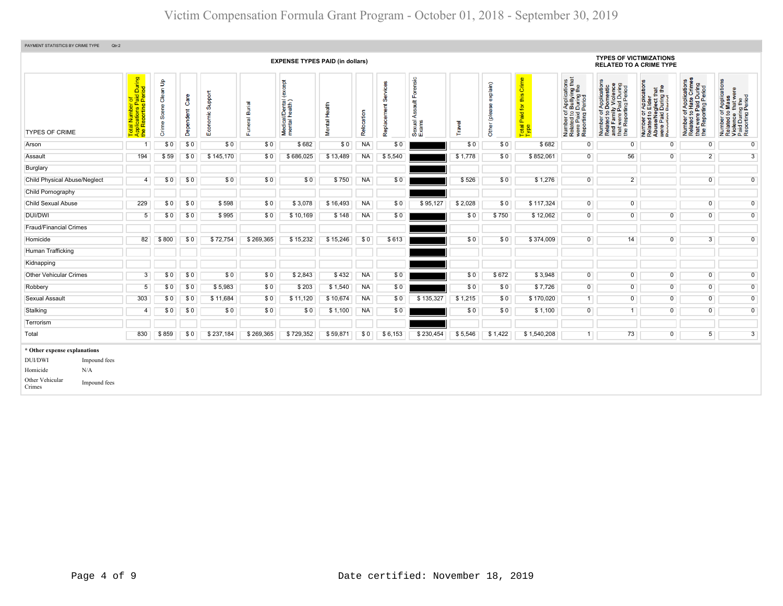| PAYMENT STATISTICS BY CRIME TYPE    | Qtr:2        |                                                                               |                            |                   |                                  |                              |                                               |                  |            |                         |                                                              |         |                    |                                            |                                                                                                                                        |                                                                                                                                                      |                                                                                                                                                          |                                                                                                   |                                                                                                        |
|-------------------------------------|--------------|-------------------------------------------------------------------------------|----------------------------|-------------------|----------------------------------|------------------------------|-----------------------------------------------|------------------|------------|-------------------------|--------------------------------------------------------------|---------|--------------------|--------------------------------------------|----------------------------------------------------------------------------------------------------------------------------------------|------------------------------------------------------------------------------------------------------------------------------------------------------|----------------------------------------------------------------------------------------------------------------------------------------------------------|---------------------------------------------------------------------------------------------------|--------------------------------------------------------------------------------------------------------|
|                                     |              |                                                                               |                            |                   |                                  |                              | <b>EXPENSE TYPES PAID (in dollars)</b>        |                  |            |                         |                                                              |         |                    |                                            |                                                                                                                                        | <b>TYPES OF VICTIMIZATIONS</b><br><b>RELATED TO A CRIME TYPE</b>                                                                                     |                                                                                                                                                          |                                                                                                   |                                                                                                        |
| <b>TYPES OF CRIME</b>               |              | During<br>iod<br>Total Number of<br>Applications Paid I<br>the Reporting Peri | Clean Up<br>Scene<br>Crime | Care<br>Dependent | Support<br>$rac{1}{2}$<br>8<br>ш | <b>Burial</b><br>uneral<br>Œ | (except<br>Medical/Dental (<br>mental health) | Health<br>Mental | Relocation | Services<br>Replacement | Forensic<br>$\frac{4}{5}$<br><b>Ass</b><br>Sexual /<br>Exams | Travel  | explain)<br>ۊ<br>흉 | Crime<br>this<br>Paid for<br>Total<br>Type | f Applications<br>b Bullying that<br>I During the<br>Period<br>Number of <i>I</i><br>Related to <b>E</b><br>were Paid L<br>Reporting P | Paid During<br>rting Period<br>Number of Applications<br>Related to Domestic<br>and Family Violence<br>that were Paid During<br>the Reporting Period | r Applications<br>Elder<br><b>aglect that</b><br>I During the<br>Period<br>Number of <i>A</i><br>Related to E<br>Abuse/Neg<br>were Paid D<br>Reporting P | Number of Applications<br>Related to Hate Crimes<br>that were Paid During<br>the Reporting Period | Number of Applications<br>Related to Mass<br>Violence that were<br>Paid During the<br>Reporting Period |
| Arson                               |              | $\overline{1}$                                                                | \$0                        | \$0               | \$0                              | \$0                          | \$682                                         | \$0              | <b>NA</b>  | \$0                     |                                                              | \$0     | \$0                | \$682                                      | $\overline{0}$                                                                                                                         | $\Omega$                                                                                                                                             | $\Omega$                                                                                                                                                 | $\overline{0}$                                                                                    | $\overline{0}$                                                                                         |
| Assault                             |              | 194                                                                           | \$59                       | \$0               | \$145,170                        | \$0                          | \$686,025                                     | \$13,489         | <b>NA</b>  | \$5,540                 |                                                              | \$1,778 | \$0                | \$852,061                                  | $\overline{0}$                                                                                                                         | 56                                                                                                                                                   | $\mathbf 0$                                                                                                                                              | $\overline{2}$                                                                                    | $\overline{3}$                                                                                         |
| Burglary                            |              |                                                                               |                            |                   |                                  |                              |                                               |                  |            |                         |                                                              |         |                    |                                            |                                                                                                                                        |                                                                                                                                                      |                                                                                                                                                          |                                                                                                   |                                                                                                        |
| <b>Child Physical Abuse/Neglect</b> |              | 4                                                                             | \$0                        | \$0               | \$0                              | \$0                          | \$0                                           | \$750            | <b>NA</b>  | \$0                     |                                                              | \$526   | \$0                | \$1,276                                    | $\overline{0}$                                                                                                                         | 2 <sup>1</sup>                                                                                                                                       |                                                                                                                                                          | $\overline{0}$                                                                                    | $\overline{0}$                                                                                         |
| Child Pornography                   |              |                                                                               |                            |                   |                                  |                              |                                               |                  |            |                         |                                                              |         |                    |                                            |                                                                                                                                        |                                                                                                                                                      |                                                                                                                                                          |                                                                                                   |                                                                                                        |
| <b>Child Sexual Abuse</b>           |              | 229                                                                           | \$0                        | \$0               | \$598                            | \$0                          | \$3,078                                       | \$16,493         | <b>NA</b>  | \$0                     | \$95,127                                                     | \$2,028 | \$0                | \$117,324                                  | $\overline{0}$                                                                                                                         | $\overline{0}$                                                                                                                                       |                                                                                                                                                          | $\overline{0}$                                                                                    | $\overline{0}$                                                                                         |
| DUI/DWI                             |              | 5                                                                             | \$0                        | \$0               | \$995                            | \$0                          | \$10,169                                      | \$148            | <b>NA</b>  | \$0                     |                                                              | \$0     | \$750              | \$12,062                                   | $\overline{0}$                                                                                                                         | $\overline{0}$                                                                                                                                       | $\overline{0}$                                                                                                                                           | $\mathsf{O}$                                                                                      | $\overline{0}$                                                                                         |
| <b>Fraud/Financial Crimes</b>       |              |                                                                               |                            |                   |                                  |                              |                                               |                  |            |                         |                                                              |         |                    |                                            |                                                                                                                                        |                                                                                                                                                      |                                                                                                                                                          |                                                                                                   |                                                                                                        |
| Homicide                            |              | 82                                                                            | \$800                      | \$0               | \$72,754                         | \$269,365                    | \$15,232                                      | \$15,246         | \$0        | \$613                   |                                                              | \$0     | \$0                | \$374,009                                  | $\overline{0}$                                                                                                                         | 14                                                                                                                                                   | 0                                                                                                                                                        | $\overline{3}$                                                                                    | $\overline{0}$                                                                                         |
| Human Trafficking                   |              |                                                                               |                            |                   |                                  |                              |                                               |                  |            |                         |                                                              |         |                    |                                            |                                                                                                                                        |                                                                                                                                                      |                                                                                                                                                          |                                                                                                   |                                                                                                        |
| Kidnapping                          |              |                                                                               |                            |                   |                                  |                              |                                               |                  |            |                         |                                                              |         |                    |                                            |                                                                                                                                        |                                                                                                                                                      |                                                                                                                                                          |                                                                                                   |                                                                                                        |
| <b>Other Vehicular Crimes</b>       |              | 3                                                                             | \$0                        | \$0               | \$0                              | \$0                          | \$2,843                                       | \$432            | <b>NA</b>  | \$0                     |                                                              | \$0     | \$672              | \$3,948                                    | $\overline{0}$                                                                                                                         | $\overline{0}$                                                                                                                                       | $\mathbf 0$                                                                                                                                              | $\overline{0}$                                                                                    | $\overline{0}$                                                                                         |
| Robbery                             |              | $5\phantom{.0}$                                                               | \$0                        | \$0               | \$5,983                          | \$0                          | \$203                                         | \$1,540          | <b>NA</b>  | \$0                     |                                                              | \$0     | \$0                | \$7,726                                    | $\overline{0}$                                                                                                                         | $\overline{0}$                                                                                                                                       | $\overline{0}$                                                                                                                                           | $\overline{0}$                                                                                    | $\overline{0}$                                                                                         |
| Sexual Assault                      |              | 303                                                                           | \$0                        | \$0               | \$11,684                         | \$0                          | \$11,120                                      | \$10,674         | <b>NA</b>  | \$0                     | \$135,327                                                    | \$1,215 | \$0                | \$170,020                                  | $\overline{1}$                                                                                                                         | $\overline{0}$                                                                                                                                       | $\mathbf 0$                                                                                                                                              | $\overline{0}$                                                                                    | $\overline{0}$                                                                                         |
| Stalking                            |              | $\overline{4}$                                                                | \$0                        | \$0               | \$0                              | \$0                          | \$0                                           | \$1,100          | <b>NA</b>  | \$0                     |                                                              | \$0     | \$0                | \$1,100                                    | $\overline{0}$                                                                                                                         | 1                                                                                                                                                    | $\overline{0}$                                                                                                                                           | $\overline{0}$                                                                                    | $\overline{0}$                                                                                         |
| Terrorism                           |              |                                                                               |                            |                   |                                  |                              |                                               |                  |            |                         |                                                              |         |                    |                                            |                                                                                                                                        |                                                                                                                                                      |                                                                                                                                                          |                                                                                                   |                                                                                                        |
| Total                               |              | 830                                                                           | \$859                      | \$0               | \$237,184                        | \$269,365                    | \$729,352                                     | \$59,871         | \$0        | \$6,153                 | \$230,454                                                    | \$5,546 | \$1,422            | \$1,540,208                                | $\mathbf{1}$                                                                                                                           | 73                                                                                                                                                   | $\overline{0}$                                                                                                                                           | 5 <sub>1</sub>                                                                                    | 3 <sup>1</sup>                                                                                         |
| * Other expense explanations        |              |                                                                               |                            |                   |                                  |                              |                                               |                  |            |                         |                                                              |         |                    |                                            |                                                                                                                                        |                                                                                                                                                      |                                                                                                                                                          |                                                                                                   |                                                                                                        |
| <b>DUI/DWI</b>                      | Impound fees |                                                                               |                            |                   |                                  |                              |                                               |                  |            |                         |                                                              |         |                    |                                            |                                                                                                                                        |                                                                                                                                                      |                                                                                                                                                          |                                                                                                   |                                                                                                        |
| Homicide                            | N/A          |                                                                               |                            |                   |                                  |                              |                                               |                  |            |                         |                                                              |         |                    |                                            |                                                                                                                                        |                                                                                                                                                      |                                                                                                                                                          |                                                                                                   |                                                                                                        |
| Other Vehicular<br>Crimes           | Impound fees |                                                                               |                            |                   |                                  |                              |                                               |                  |            |                         |                                                              |         |                    |                                            |                                                                                                                                        |                                                                                                                                                      |                                                                                                                                                          |                                                                                                   |                                                                                                        |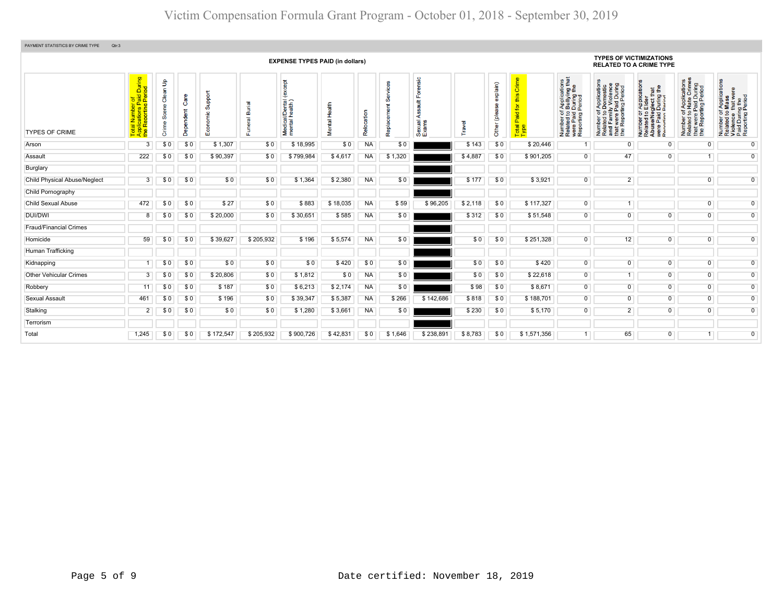| PAYMENT STATISTICS BY CRIME TYPE<br>Qtr:3 |                                                                                                                |                                         |                   |                               |                                      |                                                      |                  |            |                      |                                                |         |                                |                                             |                                                                                                                                  |                                                                                                                                                                                                                 |                                                                                                                                                  |                                                                                                                                      |                                                                                                        |
|-------------------------------------------|----------------------------------------------------------------------------------------------------------------|-----------------------------------------|-------------------|-------------------------------|--------------------------------------|------------------------------------------------------|------------------|------------|----------------------|------------------------------------------------|---------|--------------------------------|---------------------------------------------|----------------------------------------------------------------------------------------------------------------------------------|-----------------------------------------------------------------------------------------------------------------------------------------------------------------------------------------------------------------|--------------------------------------------------------------------------------------------------------------------------------------------------|--------------------------------------------------------------------------------------------------------------------------------------|--------------------------------------------------------------------------------------------------------|
|                                           |                                                                                                                |                                         |                   |                               |                                      | <b>EXPENSE TYPES PAID (in dollars)</b>               |                  |            |                      |                                                |         |                                |                                             |                                                                                                                                  | <b>TYPES OF VICTIMIZATIONS</b><br><b>RELATED TO A CRIME TYPE</b>                                                                                                                                                |                                                                                                                                                  |                                                                                                                                      |                                                                                                        |
| <b>TYPES OF CRIME</b>                     | During<br>iod<br>umber of<br>tions Pai<br>porting Pe<br><b>ilication</b><br>Report<br>Total<br>Applic<br>the R | $\mathsf{B}$<br>ëه<br>Õ,<br>e<br>E<br>ŏ | Care<br>Dependent | Support<br>'nc<br>ğ<br>۶<br>ш | ᠊ᢛ<br>őó<br>$\overline{\sigma}$<br>ш | <b>Dept</b><br>ě<br>Medical/Dental<br>mental health) | 급<br>운<br>Mental | Relocation | တိ<br>Ĕ<br>Replaceme | ensic<br>$\frac{4}{5}$<br>⋖<br>Sexual<br>Exams | Travel  | explain)<br>ஐ<br>plea<br>Other | Crime<br>this<br>৯<br>Paid<br>Total<br>Type | f Applications<br>b Bullying that<br>Period<br>Period<br>Number of <i>I</i><br>Related to <b>I</b><br>were Paid L<br>Reporting F | d During<br>Period<br>$\overline{\sigma}$<br>ation<br>Applicat<br>Domest<br><b>J</b> <sub>L</sub><br>imily<br>ine Paid<br>``orting F<br>$\frac{1}{6}$<br>t were<br>Number<br>Related<br>巸<br>꾑<br>that<br>the I | <b>Ication</b><br><b>glect that</b><br>  During the<br>Pariod<br><b>Appli</b><br>Elde<br>5Q<br>e/Ner<br>Number<br>Related<br>Abuse/N<br>് ട്ട് ഉ | of Applications<br>o Hate Crimes<br>Paid During<br>rting Period<br>$\frac{1}{6}$<br>t were I<br>Number<br>Related t<br>that<br>the F | Number of Applications<br>Related to Mass<br>Violence that were<br>Paid During the<br>Reporting Period |
| Arson                                     | 3                                                                                                              | \$0                                     | \$0               | \$1,307                       | \$0                                  | \$18,995                                             | \$0              | <b>NA</b>  | \$0                  |                                                | \$143   | \$0                            | \$20,446                                    | 1                                                                                                                                | $\overline{0}$                                                                                                                                                                                                  | $\mathbf 0$                                                                                                                                      | $\overline{0}$                                                                                                                       | $\overline{0}$                                                                                         |
| Assault                                   | 222                                                                                                            | \$0                                     | \$0               | \$90,397                      | \$0                                  | \$799,984                                            | \$4,617          | <b>NA</b>  | \$1,320              |                                                | \$4,887 | \$0                            | \$901,205                                   | $\mathbf 0$                                                                                                                      | 47                                                                                                                                                                                                              | $\mathbf 0$                                                                                                                                      |                                                                                                                                      | $\overline{0}$                                                                                         |
| Burglary                                  |                                                                                                                |                                         |                   |                               |                                      |                                                      |                  |            |                      |                                                |         |                                |                                             |                                                                                                                                  |                                                                                                                                                                                                                 |                                                                                                                                                  |                                                                                                                                      |                                                                                                        |
| <b>Child Physical Abuse/Neglect</b>       | 3                                                                                                              | \$0                                     | \$0               | \$0                           | \$0                                  | \$1,364                                              | \$2,380          | <b>NA</b>  | \$0                  |                                                | \$177   | \$0                            | \$3,921                                     | $\overline{0}$                                                                                                                   | $\overline{2}$                                                                                                                                                                                                  |                                                                                                                                                  | $\Omega$                                                                                                                             | $\overline{0}$                                                                                         |
| Child Pornography                         |                                                                                                                |                                         |                   |                               |                                      |                                                      |                  |            |                      |                                                |         |                                |                                             |                                                                                                                                  |                                                                                                                                                                                                                 |                                                                                                                                                  |                                                                                                                                      |                                                                                                        |
| <b>Child Sexual Abuse</b>                 | 472                                                                                                            | \$0                                     | \$0               | \$27                          | \$0                                  | \$883                                                | \$18,035         | <b>NA</b>  | \$59                 | \$96,205                                       | \$2,118 | \$0                            | \$117,327                                   | $\overline{0}$                                                                                                                   | 1                                                                                                                                                                                                               |                                                                                                                                                  | $\mathbf 0$                                                                                                                          | $\overline{0}$                                                                                         |
| <b>DUI/DWI</b>                            | 8                                                                                                              | \$0                                     | \$0               | \$20,000                      | \$0                                  | \$30,651                                             | \$585            | <b>NA</b>  | \$0                  |                                                | \$312   | \$0                            | \$51,548                                    | $\overline{0}$                                                                                                                   | $\overline{0}$                                                                                                                                                                                                  | $\overline{0}$                                                                                                                                   | $\overline{0}$                                                                                                                       | $\overline{0}$                                                                                         |
| <b>Fraud/Financial Crimes</b>             |                                                                                                                |                                         |                   |                               |                                      |                                                      |                  |            |                      |                                                |         |                                |                                             |                                                                                                                                  |                                                                                                                                                                                                                 |                                                                                                                                                  |                                                                                                                                      |                                                                                                        |
| Homicide                                  | 59                                                                                                             | \$0                                     | \$0               | \$39,627                      | \$205,932                            | \$196                                                | \$5,574          | <b>NA</b>  | \$0                  |                                                | \$0     | \$0                            | \$251,328                                   | $\overline{0}$                                                                                                                   | 12                                                                                                                                                                                                              | $\overline{0}$                                                                                                                                   | $\overline{0}$                                                                                                                       | $\overline{0}$                                                                                         |
| Human Trafficking                         |                                                                                                                |                                         |                   |                               |                                      |                                                      |                  |            |                      |                                                |         |                                |                                             |                                                                                                                                  |                                                                                                                                                                                                                 |                                                                                                                                                  |                                                                                                                                      |                                                                                                        |
| Kidnapping                                |                                                                                                                | SO.                                     | \$0               | \$0                           | \$0                                  | \$0                                                  | \$420            | \$0        | \$0                  |                                                | \$0     | \$0                            | \$420                                       | $\overline{0}$                                                                                                                   | $\overline{0}$                                                                                                                                                                                                  | $\mathbf 0$                                                                                                                                      | $\overline{0}$                                                                                                                       | $\overline{0}$                                                                                         |
| <b>Other Vehicular Crimes</b>             | 3                                                                                                              | \$0                                     | \$0               | \$20,806                      | \$0                                  | \$1,812                                              | \$0              | <b>NA</b>  | \$0                  |                                                | \$0     | \$0                            | \$22,618                                    | $\overline{0}$                                                                                                                   | $\overline{1}$                                                                                                                                                                                                  | $\overline{0}$                                                                                                                                   | $\overline{0}$                                                                                                                       | $\overline{0}$                                                                                         |
| Robbery                                   | 11                                                                                                             | \$0                                     | \$0               | \$187                         | \$0                                  | \$6,213                                              | \$2,174          | <b>NA</b>  | \$0                  |                                                | \$98    | \$0                            | \$8,671                                     | $\overline{0}$                                                                                                                   | $\overline{0}$                                                                                                                                                                                                  | $\overline{0}$                                                                                                                                   | $\overline{0}$                                                                                                                       | $\overline{0}$                                                                                         |
| Sexual Assault                            | 461                                                                                                            | \$0                                     | \$0               | \$196                         | \$0                                  | \$39,347                                             | \$5,387          | <b>NA</b>  | \$266                | \$142,686                                      | \$818   | \$0                            | \$188,701                                   | $\overline{0}$                                                                                                                   | $\Omega$                                                                                                                                                                                                        | $\overline{0}$                                                                                                                                   | $\overline{0}$                                                                                                                       | $\overline{0}$                                                                                         |
| Stalking                                  | $\overline{2}$                                                                                                 | \$0                                     | \$0               | \$0                           | \$0                                  | \$1,280                                              | \$3,661          | <b>NA</b>  | \$0                  |                                                | \$230   | \$0                            | \$5,170                                     | $\overline{0}$                                                                                                                   | $\overline{2}$                                                                                                                                                                                                  | $\overline{0}$                                                                                                                                   | $\overline{0}$                                                                                                                       | $\overline{0}$                                                                                         |
| Terrorism                                 |                                                                                                                |                                         |                   |                               |                                      |                                                      |                  |            |                      |                                                |         |                                |                                             |                                                                                                                                  |                                                                                                                                                                                                                 |                                                                                                                                                  |                                                                                                                                      |                                                                                                        |
| Total                                     | 1,245                                                                                                          | \$0                                     | \$0               | \$172,547                     | \$205,932                            | \$900,726                                            | \$42,831         | \$0        | \$1,646              | \$238,891                                      | \$8,783 | \$0                            | \$1,571,356                                 |                                                                                                                                  | 65                                                                                                                                                                                                              | $\overline{0}$                                                                                                                                   |                                                                                                                                      | $\overline{0}$                                                                                         |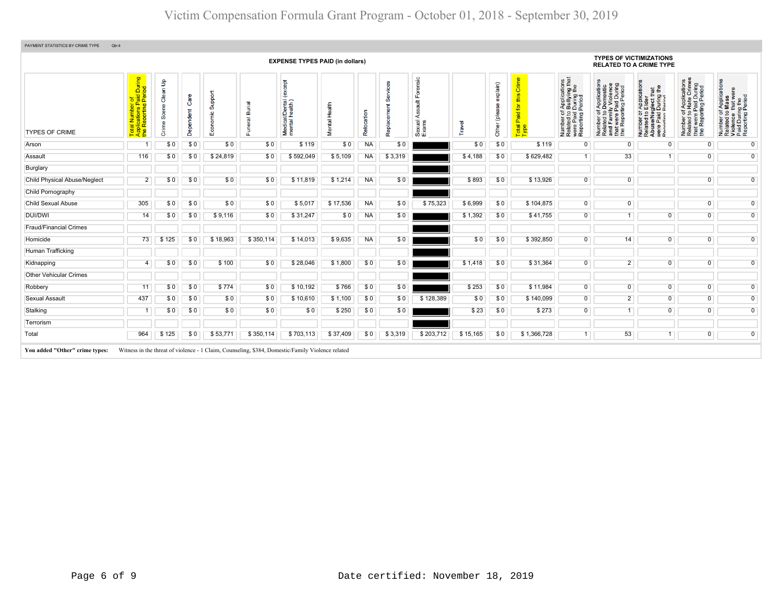| <b>EXPENSE TYPES PAID (in dollars)</b> |                                                                                                                 |                                                         |                       |                                  |                            |                                                 |                  |            |                   |                                                    |          |                              |                                            | <b>TYPES OF VICTIMIZATIONS</b><br><b>RELATED TO A CRIME TYPE</b>                                                                 |                                                                                                                                        |                                                                                                                                                    |                                                                                                                          |                                                                                                        |
|----------------------------------------|-----------------------------------------------------------------------------------------------------------------|---------------------------------------------------------|-----------------------|----------------------------------|----------------------------|-------------------------------------------------|------------------|------------|-------------------|----------------------------------------------------|----------|------------------------------|--------------------------------------------|----------------------------------------------------------------------------------------------------------------------------------|----------------------------------------------------------------------------------------------------------------------------------------|----------------------------------------------------------------------------------------------------------------------------------------------------|--------------------------------------------------------------------------------------------------------------------------|--------------------------------------------------------------------------------------------------------|
| <b>TYPES OF CRIME</b>                  | of<br>Paid During<br>Period<br><u> 1 0</u><br>al Numbe<br>plications I<br>Reporting<br>Total<br>Applic<br>the R | $\mathbf{B}$<br>등<br>ë<br><b>Scene</b><br>¢<br>e<br>تار | Care<br>ndent<br>Depe | Support<br>$rac{Q}{E}$<br>Econor | inial<br>E<br>ő<br>᠊ᢛ<br>ш | <b>cept</b><br>Medical/Dental<br>mental health) | 틉<br>운<br>Mental | Relocation | ශී<br>Replacement | Forensic<br>$\frac{4}{10}$<br>₹<br>Sexual<br>Exams | Travel   | explain)<br>(please<br>Other | Crime<br>this<br>Paid for<br>Total<br>Type | f Applications<br>b Bullying that<br>Period<br>Period<br>Number of <i>i</i><br>Related to <b>I</b><br>were Paid L<br>Reporting F | Applications<br>Domestic<br>d Family Violence<br>at were Paid During<br>Beporting Period<br>59<br>Number<br>Related<br>꾑<br>the<br>the | r Application<br>Elder<br>glect that<br>During the<br>Pariod<br>5Q<br>e/Ne<br>Paid<br>Number<br>Related<br>Abuse/N<br>$\boldsymbol{\omega}$<br>u ም | Number of Applications<br>Related to Hate Crimes<br>that were Paid During<br>the Reporting Period<br>Number<br>Related f | Number of Applications<br>Related to Mass<br>Violence that were<br>Paid During the<br>Reporting Period |
| Arson                                  |                                                                                                                 | \$0                                                     | \$0                   | \$0                              | \$0                        | \$119                                           | \$0              | <b>NA</b>  | \$0               |                                                    | \$0      | \$0                          | \$119                                      | $\mathbf 0$                                                                                                                      | $\mathbf{0}$                                                                                                                           | $\mathbf 0$                                                                                                                                        | $\mathbf 0$                                                                                                              | $\overline{0}$                                                                                         |
| Assault                                | 116                                                                                                             | \$0                                                     | \$0                   | \$24,819                         | \$0                        | \$592,049                                       | \$5,109          | <b>NA</b>  | \$3,319           |                                                    | \$4,188  | \$0                          | \$629,482                                  | 1 <sup>1</sup>                                                                                                                   | 33                                                                                                                                     | $\overline{1}$                                                                                                                                     | $\overline{0}$                                                                                                           | $\overline{0}$                                                                                         |
| Burglary                               |                                                                                                                 |                                                         |                       |                                  |                            |                                                 |                  |            |                   |                                                    |          |                              |                                            |                                                                                                                                  |                                                                                                                                        |                                                                                                                                                    |                                                                                                                          |                                                                                                        |
| <b>Child Physical Abuse/Neglect</b>    | 2                                                                                                               | \$0                                                     | \$0                   | \$0                              | \$0                        | \$11,819                                        | \$1,214          | <b>NA</b>  | \$0               |                                                    | \$893    | \$0                          | \$13,926                                   | $\overline{0}$                                                                                                                   | $\mathbf 0$                                                                                                                            |                                                                                                                                                    | $\overline{0}$                                                                                                           | $\overline{0}$                                                                                         |
| Child Pornography                      |                                                                                                                 |                                                         |                       |                                  |                            |                                                 |                  |            |                   |                                                    |          |                              |                                            |                                                                                                                                  |                                                                                                                                        |                                                                                                                                                    |                                                                                                                          |                                                                                                        |
| <b>Child Sexual Abuse</b>              | 305                                                                                                             | \$0                                                     | \$0                   | \$0                              | \$0                        | \$5,017                                         | \$17,536         | <b>NA</b>  | \$0               | \$75,323                                           | \$6,999  | \$0                          | \$104,875                                  | $\overline{0}$                                                                                                                   | $\overline{0}$                                                                                                                         |                                                                                                                                                    | $\overline{0}$                                                                                                           | $\overline{0}$                                                                                         |
| DUI/DWI                                | 14                                                                                                              | \$0                                                     | \$0                   | \$9,116                          | \$0                        | \$31,247                                        | \$0              | <b>NA</b>  | \$0               |                                                    | \$1,392  | \$0                          | \$41,755                                   | $\overline{0}$                                                                                                                   | $\overline{1}$                                                                                                                         | $\overline{0}$                                                                                                                                     | $\overline{0}$                                                                                                           | $\overline{0}$                                                                                         |
| <b>Fraud/Financial Crimes</b>          |                                                                                                                 |                                                         |                       |                                  |                            |                                                 |                  |            |                   |                                                    |          |                              |                                            |                                                                                                                                  |                                                                                                                                        |                                                                                                                                                    |                                                                                                                          |                                                                                                        |
| Homicide                               | 73                                                                                                              | \$125                                                   | \$0                   | \$18,963                         | \$350,114                  | \$14,013                                        | \$9,635          | <b>NA</b>  | \$0               |                                                    | \$0      | \$0                          | \$392,850                                  | $\overline{0}$                                                                                                                   | 14                                                                                                                                     | $\overline{0}$                                                                                                                                     | $\overline{0}$                                                                                                           | $\overline{0}$                                                                                         |
| Human Trafficking                      |                                                                                                                 |                                                         |                       |                                  |                            |                                                 |                  |            |                   |                                                    |          |                              |                                            |                                                                                                                                  |                                                                                                                                        |                                                                                                                                                    |                                                                                                                          |                                                                                                        |
| Kidnapping                             | 4                                                                                                               | \$0                                                     | \$0                   | \$100                            | \$0                        | \$28,046                                        | \$1,800          | \$0        | \$0               |                                                    | \$1,418  | \$0                          | \$31,364                                   | $\overline{0}$                                                                                                                   | $\overline{2}$                                                                                                                         | $\overline{0}$                                                                                                                                     | $\overline{0}$                                                                                                           | $\overline{0}$                                                                                         |
| <b>Other Vehicular Crimes</b>          |                                                                                                                 |                                                         |                       |                                  |                            |                                                 |                  |            |                   |                                                    |          |                              |                                            |                                                                                                                                  |                                                                                                                                        |                                                                                                                                                    |                                                                                                                          |                                                                                                        |
| Robbery                                | 11                                                                                                              | \$0                                                     | \$0                   | \$774                            | \$0                        | \$10,192                                        | \$766            | \$0        | \$0               |                                                    | \$253    | \$0                          | \$11,984                                   | $\overline{0}$                                                                                                                   | $\overline{0}$                                                                                                                         | $\overline{0}$                                                                                                                                     | $\overline{0}$                                                                                                           | $\overline{0}$                                                                                         |
| <b>Sexual Assault</b>                  | 437                                                                                                             | \$0                                                     | \$0                   | \$0                              | \$0                        | \$10,610                                        | \$1,100          | \$0        | \$0               | \$128,389                                          | \$0      | \$0                          | \$140,099                                  | $\overline{0}$                                                                                                                   | $\overline{2}$                                                                                                                         | $\overline{0}$                                                                                                                                     | $\overline{0}$                                                                                                           | $\overline{0}$                                                                                         |
| Stalking                               |                                                                                                                 | \$0                                                     | \$0                   | \$0                              | \$0                        | \$0                                             | \$250            | \$0        | \$0               |                                                    | \$23     | \$0                          | \$273                                      | $\overline{0}$                                                                                                                   | $\overline{1}$                                                                                                                         | $\overline{0}$                                                                                                                                     | $\overline{0}$                                                                                                           | $\overline{0}$                                                                                         |
| Terrorism                              |                                                                                                                 |                                                         |                       |                                  |                            |                                                 |                  |            |                   |                                                    |          |                              |                                            |                                                                                                                                  |                                                                                                                                        |                                                                                                                                                    |                                                                                                                          |                                                                                                        |
| Total                                  | 964                                                                                                             | \$125                                                   | \$0                   | \$53,771                         | \$350,114                  | \$703,113                                       | \$37,409         | \$0        | \$3,319           | \$203,712                                          | \$15,165 | \$0                          | \$1,366,728                                | 1 <sup>1</sup>                                                                                                                   | 53                                                                                                                                     | $\mathbf{1}$                                                                                                                                       | $\overline{0}$                                                                                                           | $\overline{0}$                                                                                         |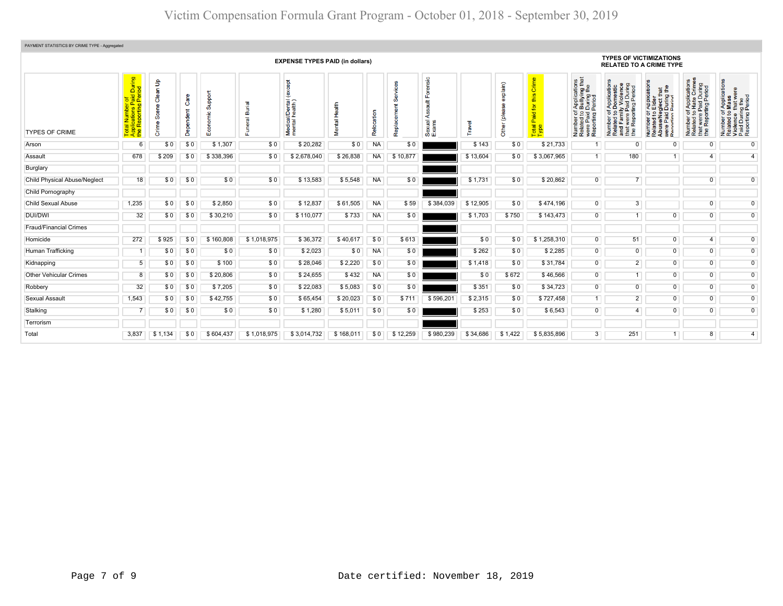| PAYMENT STATISTICS BY CRIME TYPE - Aggregated |                                                                                                          |                                                     |                         |                                |                                               |                                              |                            |               |          |                                          |                                 |                            |                                                                  |                                                                                                                                  |                                                                                                                                                       |                                                                                                                                                                            |                                                                                                                                    |                                                                                                        |  |  |
|-----------------------------------------------|----------------------------------------------------------------------------------------------------------|-----------------------------------------------------|-------------------------|--------------------------------|-----------------------------------------------|----------------------------------------------|----------------------------|---------------|----------|------------------------------------------|---------------------------------|----------------------------|------------------------------------------------------------------|----------------------------------------------------------------------------------------------------------------------------------|-------------------------------------------------------------------------------------------------------------------------------------------------------|----------------------------------------------------------------------------------------------------------------------------------------------------------------------------|------------------------------------------------------------------------------------------------------------------------------------|--------------------------------------------------------------------------------------------------------|--|--|
| <b>EXPENSE TYPES PAID (in dollars)</b>        |                                                                                                          |                                                     |                         |                                |                                               |                                              |                            |               |          |                                          |                                 |                            | <b>TYPES OF VICTIMIZATIONS</b><br><b>RELATED TO A CRIME TYPE</b> |                                                                                                                                  |                                                                                                                                                       |                                                                                                                                                                            |                                                                                                                                    |                                                                                                        |  |  |
| <b>TYPES OF CRIME</b>                         | During<br>iod<br>$\overline{\mathbf{v}}$<br>$\circ$<br>$\mathbf{a}$<br>$\sigma$<br>ž.<br>ಕ<br>$F \leq E$ | $\mathbf{e}$<br>န္ဖ<br>ငိ<br>cene<br>Ŏ,<br>em.<br>ā | Φ<br>ā<br>ndent<br>Depe | loddn<br>ശ<br>ပ<br>ō<br>8<br>ш | ত<br>ۊ<br>ۿ<br>$\overline{\mathfrak{G}}$<br>ш | except<br>Medical/Dental (<br>mental health) | $\frac{4}{9}$<br>Tial<br>Š | g<br>Relocati | ᅙ        | ensic<br>ᇟ<br>ã<br>⋖<br>Sexual.<br>Exams | $\overline{\Phi}$<br><b>NBJ</b> | explain)<br>(plea<br>Other | ō<br>ഗ<br>Ξ<br>$\overline{\sigma}$<br>Ö.<br>Total<br>Type        | f Applications<br>During that<br>Period<br>Period<br>$6.9 \frac{1}{2}$<br>were Paid<br>Reporting<br>Number<br>Related<br>were Pa | f Application<br>Domestic<br>ly Violence<br><b>During</b><br>t were Paid D<br>Reporting Pe<br>Number of A<br>Related to D<br>and Family<br>the<br>the | T Application<br>• Elder<br>During the<br>During the<br>Dening the<br>Number of <i>I</i><br>Related to <b>E</b><br>Abuse/Neg<br>were Paid L<br>$\frac{1}{2}$ $\frac{1}{2}$ | f Applications<br>Hate Crimes<br>were Paid During<br>Reporting Period<br>$\overline{5}$ $\overline{9}$<br>Number<br>Related<br>the | Number of Applications<br>Related to Mass<br>Violence that were<br>Paid During the<br>Reporting Period |  |  |
| Arson                                         | 6                                                                                                        | \$0                                                 | \$0                     | \$1,307                        | \$0                                           | \$20,282                                     | \$0                        | <b>NA</b>     | \$0      |                                          | \$143                           | \$0                        | \$21,733                                                         | 1                                                                                                                                | $\mathbf 0$                                                                                                                                           | $\mathbf 0$                                                                                                                                                                | 0                                                                                                                                  | $\overline{0}$                                                                                         |  |  |
| Assault                                       | 678                                                                                                      | \$209                                               | \$0                     | \$338,396                      | \$0                                           | \$2,678,040                                  | \$26,838                   | <b>NA</b>     | \$10,877 |                                          | \$13,604                        | \$0                        | \$3,067,965                                                      | 1                                                                                                                                | 180                                                                                                                                                   | 1 <sup>1</sup>                                                                                                                                                             | 4                                                                                                                                  | 4                                                                                                      |  |  |
| Burglary                                      |                                                                                                          |                                                     |                         |                                |                                               |                                              |                            |               |          |                                          |                                 |                            |                                                                  |                                                                                                                                  |                                                                                                                                                       |                                                                                                                                                                            |                                                                                                                                    |                                                                                                        |  |  |
| <b>Child Physical Abuse/Neglect</b>           | 18                                                                                                       | \$0                                                 | \$0                     | \$0                            | \$0                                           | \$13,583                                     | \$5,548                    | <b>NA</b>     | \$0      |                                          | \$1,731                         | \$0                        | \$20,862                                                         | $\overline{0}$                                                                                                                   | $\overline{7}$                                                                                                                                        |                                                                                                                                                                            | $\overline{0}$                                                                                                                     | $\overline{0}$                                                                                         |  |  |
| Child Pornography                             |                                                                                                          |                                                     |                         |                                |                                               |                                              |                            |               |          |                                          |                                 |                            |                                                                  |                                                                                                                                  |                                                                                                                                                       |                                                                                                                                                                            |                                                                                                                                    |                                                                                                        |  |  |
| <b>Child Sexual Abuse</b>                     | 1,235                                                                                                    | \$0                                                 | \$0                     | \$2,850                        | \$0                                           | \$12,837                                     | \$61,505                   | <b>NA</b>     | \$59     | \$384,039                                | \$12,905                        | \$0                        | \$474,196                                                        | $\overline{0}$                                                                                                                   | $\mathbf{3}$                                                                                                                                          |                                                                                                                                                                            | $\mathbf 0$                                                                                                                        | $\mathbf 0$                                                                                            |  |  |
| DUI/DWI                                       | 32                                                                                                       | \$0                                                 | \$0                     | \$30,210                       | \$0                                           | \$110,077                                    | \$733                      | <b>NA</b>     | \$0      |                                          | \$1,703                         | \$750                      | \$143,473                                                        | $\mathbf 0$                                                                                                                      | $\overline{1}$                                                                                                                                        | $\mathbf 0$                                                                                                                                                                | $\overline{0}$                                                                                                                     | $\mathbf 0$                                                                                            |  |  |
| <b>Fraud/Financial Crimes</b>                 |                                                                                                          |                                                     |                         |                                |                                               |                                              |                            |               |          |                                          |                                 |                            |                                                                  |                                                                                                                                  |                                                                                                                                                       |                                                                                                                                                                            |                                                                                                                                    |                                                                                                        |  |  |
| Homicide                                      | 272                                                                                                      | \$925                                               | \$0                     | \$160,808                      | \$1,018,975                                   | \$36,372                                     | \$40,617                   | \$0           | \$613    |                                          | \$0                             | \$0                        | \$1,258,310                                                      | $\overline{0}$                                                                                                                   | 51                                                                                                                                                    | $\overline{0}$                                                                                                                                                             | $\overline{4}$                                                                                                                     | $\mathbf 0$                                                                                            |  |  |
| Human Trafficking                             |                                                                                                          | \$0                                                 | \$0                     | \$0                            | \$0                                           | \$2,023                                      | \$0                        | <b>NA</b>     | \$0      |                                          | \$262                           | \$0                        | \$2,285                                                          | $\overline{0}$                                                                                                                   | $\overline{0}$                                                                                                                                        | $\overline{0}$                                                                                                                                                             | $\overline{0}$                                                                                                                     | $\mathbf 0$                                                                                            |  |  |
| Kidnapping                                    | 5                                                                                                        | \$0                                                 | \$0                     | \$100                          | \$0                                           | \$28,046                                     | \$2,220                    | \$0           | \$0      |                                          | \$1,418                         | \$0                        | \$31,784                                                         | $\overline{0}$                                                                                                                   | $\overline{2}$                                                                                                                                        | $\overline{0}$                                                                                                                                                             | $\overline{0}$                                                                                                                     | $\mathbf 0$                                                                                            |  |  |
| <b>Other Vehicular Crimes</b>                 | 8                                                                                                        | \$0                                                 | \$0                     | \$20,806                       | \$0                                           | \$24,655                                     | \$432                      | <b>NA</b>     | \$0      |                                          | \$0                             | \$672                      | \$46,566                                                         | $\overline{0}$                                                                                                                   | 1                                                                                                                                                     | $\overline{0}$                                                                                                                                                             | $\overline{0}$                                                                                                                     | $\mathbf 0$                                                                                            |  |  |
| Robbery                                       | 32                                                                                                       | \$0                                                 | \$0                     | \$7,205                        | \$0                                           | \$22,083                                     | \$5,083                    | \$0           | \$0      |                                          | \$351                           | \$0                        | \$34,723                                                         | $\overline{0}$                                                                                                                   | $\overline{0}$                                                                                                                                        | $\overline{0}$                                                                                                                                                             | $\overline{0}$                                                                                                                     | $\mathbf 0$                                                                                            |  |  |
| Sexual Assault                                | 1,543                                                                                                    | \$0                                                 | \$0                     | \$42,755                       | \$0                                           | \$65,454                                     | \$20,023                   | \$0           | \$711    | \$596,201                                | \$2,315                         | \$0                        | \$727,458                                                        | 1                                                                                                                                | $\overline{2}$                                                                                                                                        | $\overline{0}$                                                                                                                                                             | $\overline{0}$                                                                                                                     | $\mathbf 0$                                                                                            |  |  |
| Stalking                                      |                                                                                                          | \$0                                                 | \$0                     | \$0                            | \$0                                           | \$1,280                                      | \$5,011                    | \$0           | \$0      |                                          | \$253                           | \$0                        | \$6,543                                                          | $\overline{0}$                                                                                                                   | $\overline{4}$                                                                                                                                        | $\mathbf 0$                                                                                                                                                                | $\overline{0}$                                                                                                                     | $\overline{0}$                                                                                         |  |  |
| Terrorism                                     |                                                                                                          |                                                     |                         |                                |                                               |                                              |                            |               |          |                                          |                                 |                            |                                                                  |                                                                                                                                  |                                                                                                                                                       |                                                                                                                                                                            |                                                                                                                                    |                                                                                                        |  |  |
| Total                                         | 3,837                                                                                                    | \$1,134                                             | \$0                     | \$604,437                      | \$1,018,975                                   | \$3,014,732                                  | \$168,011                  | \$0           | \$12,259 | \$980,239                                | \$34,686                        | \$1,422                    | \$5,835,896                                                      | $\overline{3}$                                                                                                                   | 251                                                                                                                                                   | 1                                                                                                                                                                          | 8                                                                                                                                  | $\overline{4}$                                                                                         |  |  |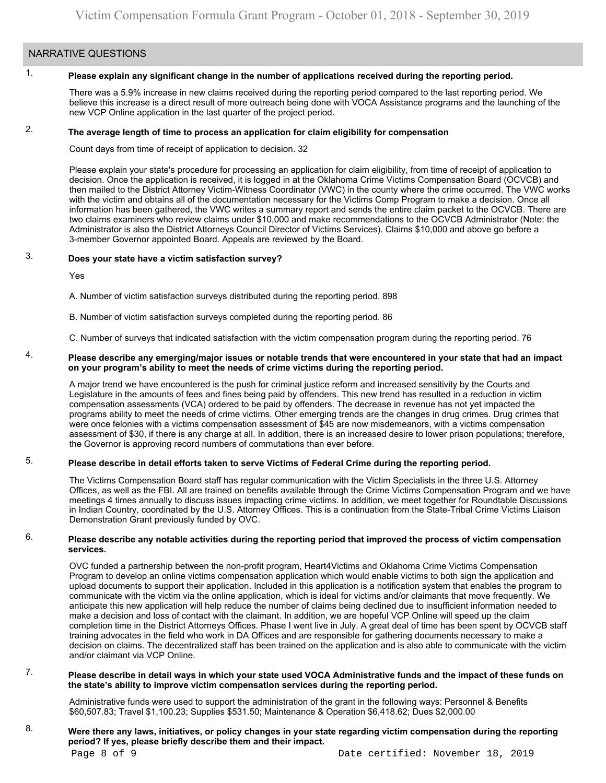# NARRATIVE QUESTIONS

#### 1. **Please explain any significant change in the number of applications received during the reporting period.**

There was a 5.9% increase in new claims received during the reporting period compared to the last reporting period. We believe this increase is a direct result of more outreach being done with VOCA Assistance programs and the launching of the new VCP Online application in the last quarter of the project period.

#### 2. **The average length of time to process an application for claim eligibility for compensation**

Count days from time of receipt of application to decision. 32

Please explain your state's procedure for processing an application for claim eligibility, from time of receipt of application to decision. Once the application is received, it is logged in at the Oklahoma Crime Victims Compensation Board (OCVCB) and then mailed to the District Attorney Victim-Witness Coordinator (VWC) in the county where the crime occurred. The VWC works with the victim and obtains all of the documentation necessary for the Victims Comp Program to make a decision. Once all information has been gathered, the VWC writes a summary report and sends the entire claim packet to the OCVCB. There are two claims examiners who review claims under \$10,000 and make recommendations to the OCVCB Administrator (Note: the Administrator is also the District Attorneys Council Director of Victims Services). Claims \$10,000 and above go before a 3-member Governor appointed Board. Appeals are reviewed by the Board.

#### 3. **Does your state have a victim satisfaction survey?**

Yes

A. Number of victim satisfaction surveys distributed during the reporting period. 898

B. Number of victim satisfaction surveys completed during the reporting period. 86

C. Number of surveys that indicated satisfaction with the victim compensation program during the reporting period. 76

### 4. **Please describe any emerging/major issues or notable trends that were encountered in your state that had an impact on your program's ability to meet the needs of crime victims during the reporting period.**

A major trend we have encountered is the push for criminal justice reform and increased sensitivity by the Courts and Legislature in the amounts of fees and fines being paid by offenders. This new trend has resulted in a reduction in victim compensation assessments (VCA) ordered to be paid by offenders. The decrease in revenue has not yet impacted the programs ability to meet the needs of crime victims. Other emerging trends are the changes in drug crimes. Drug crimes that were once felonies with a victims compensation assessment of \$45 are now misdemeanors, with a victims compensation assessment of \$30, if there is any charge at all. In addition, there is an increased desire to lower prison populations; therefore, the Governor is approving record numbers of commutations than ever before.

#### 5. **Please describe in detail efforts taken to serve Victims of Federal Crime during the reporting period.**

The Victims Compensation Board staff has regular communication with the Victim Specialists in the three U.S. Attorney Offices, as well as the FBI. All are trained on benefits available through the Crime Victims Compensation Program and we have meetings 4 times annually to discuss issues impacting crime victims. In addition, we meet together for Roundtable Discussions in Indian Country, coordinated by the U.S. Attorney Offices. This is a continuation from the State-Tribal Crime Victims Liaison Demonstration Grant previously funded by OVC.

## 6. **Please describe any notable activities during the reporting period that improved the process of victim compensation services.**

OVC funded a partnership between the non-profit program, Heart4Victims and Oklahoma Crime Victims Compensation Program to develop an online victims compensation application which would enable victims to both sign the application and upload documents to support their application. Included in this application is a notification system that enables the program to communicate with the victim via the online application, which is ideal for victims and/or claimants that move frequently. We anticipate this new application will help reduce the number of claims being declined due to insufficient information needed to make a decision and loss of contact with the claimant. In addition, we are hopeful VCP Online will speed up the claim completion time in the District Attorneys Offices. Phase I went live in July. A great deal of time has been spent by OCVCB staff training advocates in the field who work in DA Offices and are responsible for gathering documents necessary to make a decision on claims. The decentralized staff has been trained on the application and is also able to communicate with the victim and/or claimant via VCP Online.

## 7. **Please describe in detail ways in which your state used VOCA Administrative funds and the impact of these funds on the state's ability to improve victim compensation services during the reporting period.**

Administrative funds were used to support the administration of the grant in the following ways: Personnel & Benefits [\\$60,507.83](https://60,507.83); Travel \$[1,100.23;](https://1,100.23) Supplies \$531.50; Maintenance & Operation \$[6,418.62;](https://6,418.62) Dues [\\$2,000.00](https://2,000.00)

## 8. **Were there any laws, initiatives, or policy changes in your state regarding victim compensation during the reporting period? If yes, please briefly describe them and their impact.**